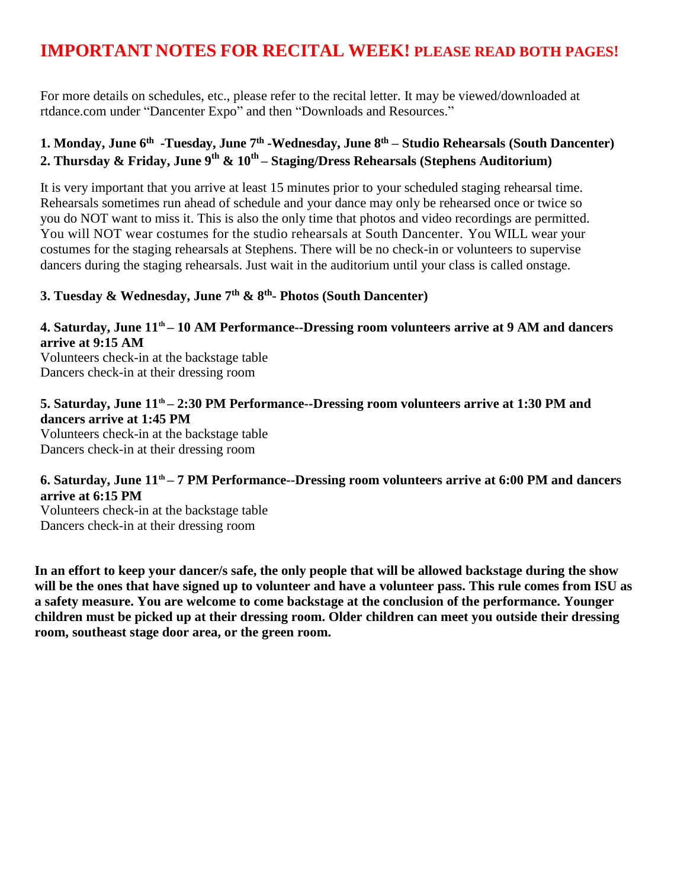# **IMPORTANT NOTES FOR RECITAL WEEK! PLEASE READ BOTH PAGES!**

For more details on schedules, etc., please refer to the recital letter. It may be viewed/downloaded at rtdance.com under "Dancenter Expo" and then "Downloads and Resources."

### **1. Monday, June 6 th -Tuesday, June 7 th -Wednesday, June 8 th – Studio Rehearsals (South Dancenter) 2. Thursday & Friday, June 9 th & 10 th – Staging/Dress Rehearsals (Stephens Auditorium)**

It is very important that you arrive at least 15 minutes prior to your scheduled staging rehearsal time. Rehearsals sometimes run ahead of schedule and your dance may only be rehearsed once or twice so you do NOT want to miss it. This is also the only time that photos and video recordings are permitted. You will NOT wear costumes for the studio rehearsals at South Dancenter. You WILL wear your costumes for the staging rehearsals at Stephens. There will be no check-in or volunteers to supervise dancers during the staging rehearsals. Just wait in the auditorium until your class is called onstage.

### **3. Tuesday & Wednesday, June 7th & 8 th - Photos (South Dancenter)**

### **4. Saturday, June 11 th – 10 AM Performance--Dressing room volunteers arrive at 9 AM and dancers arrive at 9:15 AM**

Volunteers check-in at the backstage table Dancers check-in at their dressing room

#### **5. Saturday, June 11 th – 2:30 PM Performance--Dressing room volunteers arrive at 1:30 PM and dancers arrive at 1:45 PM**

Volunteers check-in at the backstage table Dancers check-in at their dressing room

### **6. Saturday, June 11 th – 7 PM Performance--Dressing room volunteers arrive at 6:00 PM and dancers arrive at 6:15 PM**

Volunteers check-in at the backstage table Dancers check-in at their dressing room

**In an effort to keep your dancer/s safe, the only people that will be allowed backstage during the show will be the ones that have signed up to volunteer and have a volunteer pass. This rule comes from ISU as a safety measure. You are welcome to come backstage at the conclusion of the performance. Younger children must be picked up at their dressing room. Older children can meet you outside their dressing room, southeast stage door area, or the green room.**